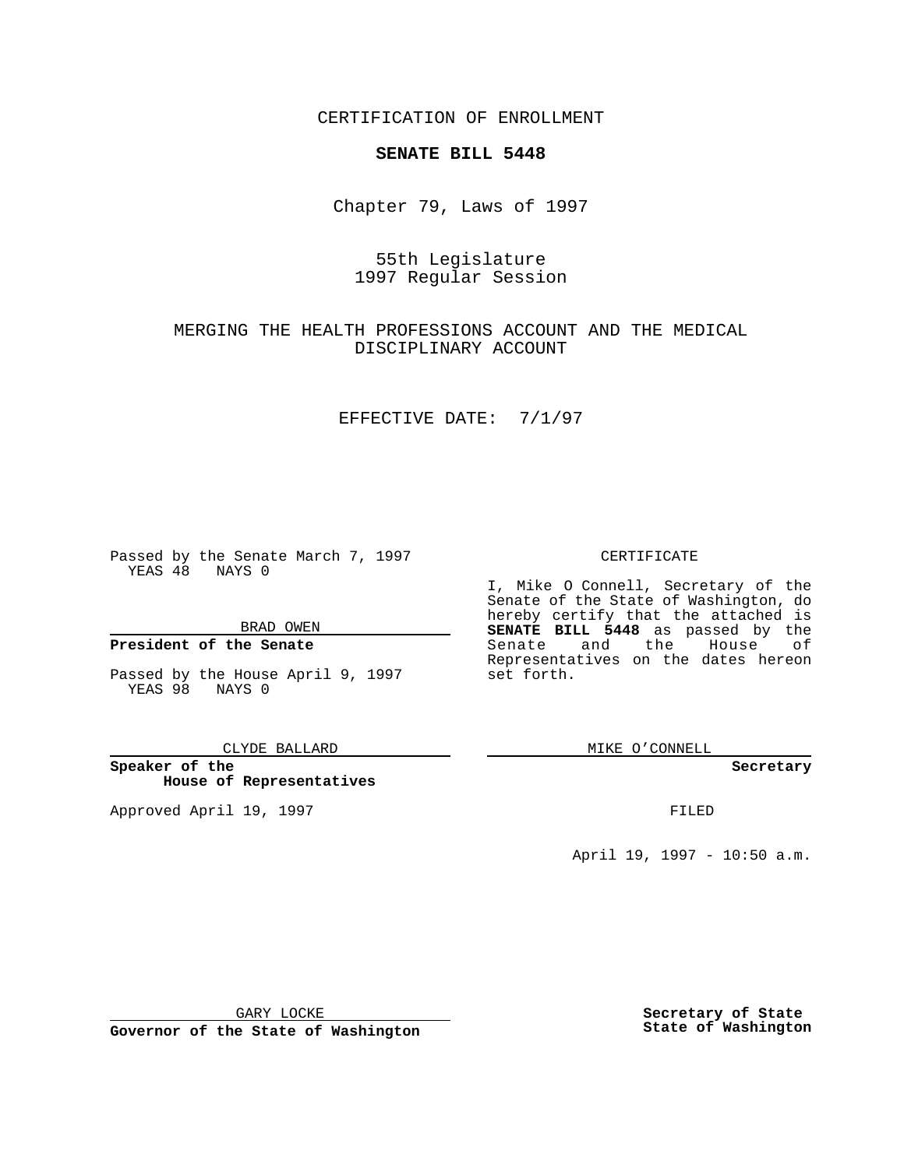CERTIFICATION OF ENROLLMENT

## **SENATE BILL 5448**

Chapter 79, Laws of 1997

## 55th Legislature 1997 Regular Session

## MERGING THE HEALTH PROFESSIONS ACCOUNT AND THE MEDICAL DISCIPLINARY ACCOUNT

### EFFECTIVE DATE: 7/1/97

Passed by the Senate March 7, 1997 YEAS 48 NAYS 0

BRAD OWEN

### **President of the Senate**

Passed by the House April 9, 1997 YEAS 98 NAYS 0

CLYDE BALLARD

**Speaker of the House of Representatives**

Approved April 19, 1997 **FILED** 

#### CERTIFICATE

I, Mike O Connell, Secretary of the Senate of the State of Washington, do hereby certify that the attached is **SENATE BILL 5448** as passed by the Senate and the House of Representatives on the dates hereon set forth.

MIKE O'CONNELL

**Secretary**

April 19, 1997 - 10:50 a.m.

GARY LOCKE

**Governor of the State of Washington**

**Secretary of State State of Washington**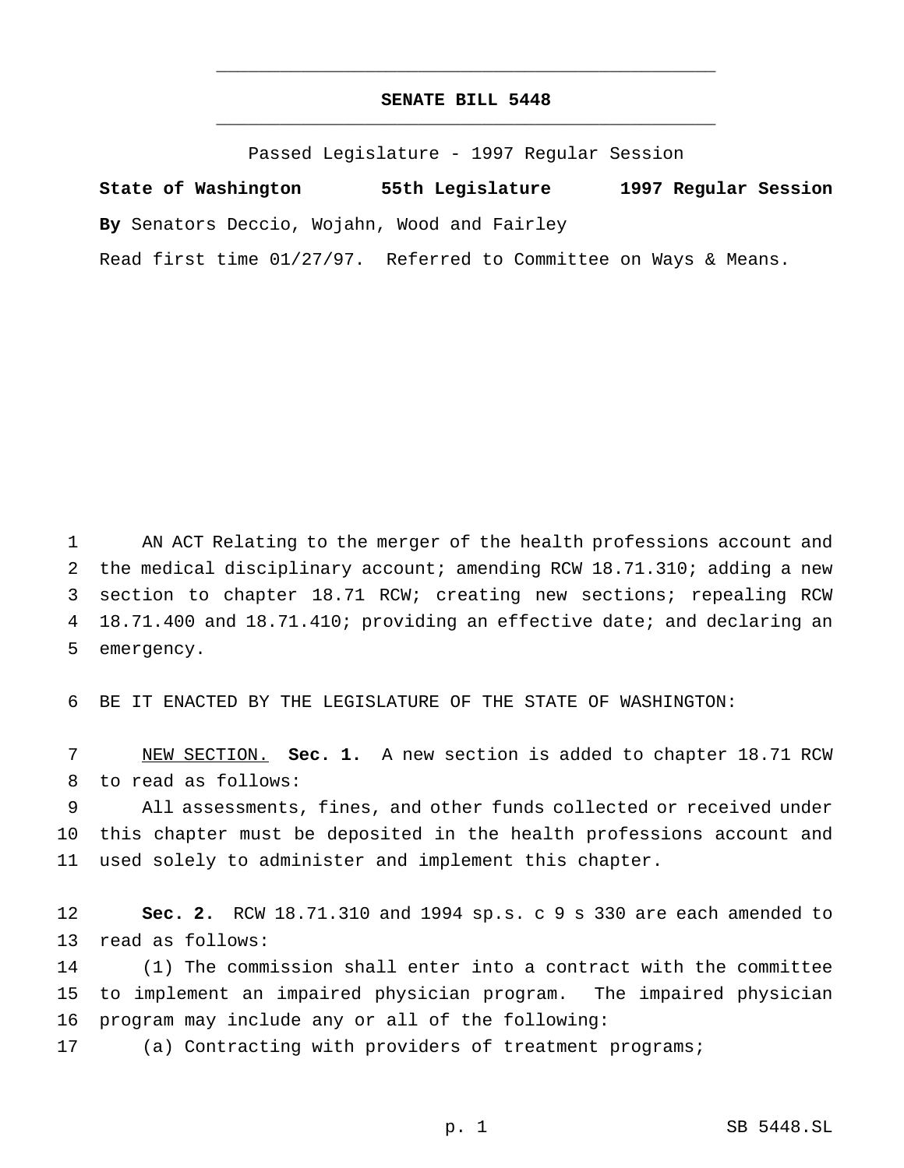# **SENATE BILL 5448** \_\_\_\_\_\_\_\_\_\_\_\_\_\_\_\_\_\_\_\_\_\_\_\_\_\_\_\_\_\_\_\_\_\_\_\_\_\_\_\_\_\_\_\_\_\_\_

\_\_\_\_\_\_\_\_\_\_\_\_\_\_\_\_\_\_\_\_\_\_\_\_\_\_\_\_\_\_\_\_\_\_\_\_\_\_\_\_\_\_\_\_\_\_\_

Passed Legislature - 1997 Regular Session

**State of Washington 55th Legislature 1997 Regular Session By** Senators Deccio, Wojahn, Wood and Fairley

Read first time 01/27/97. Referred to Committee on Ways & Means.

 AN ACT Relating to the merger of the health professions account and the medical disciplinary account; amending RCW 18.71.310; adding a new section to chapter 18.71 RCW; creating new sections; repealing RCW 18.71.400 and 18.71.410; providing an effective date; and declaring an emergency.

BE IT ENACTED BY THE LEGISLATURE OF THE STATE OF WASHINGTON:

 NEW SECTION. **Sec. 1.** A new section is added to chapter 18.71 RCW to read as follows:

 All assessments, fines, and other funds collected or received under this chapter must be deposited in the health professions account and used solely to administer and implement this chapter.

 **Sec. 2.** RCW 18.71.310 and 1994 sp.s. c 9 s 330 are each amended to read as follows:

 (1) The commission shall enter into a contract with the committee to implement an impaired physician program. The impaired physician program may include any or all of the following:

(a) Contracting with providers of treatment programs;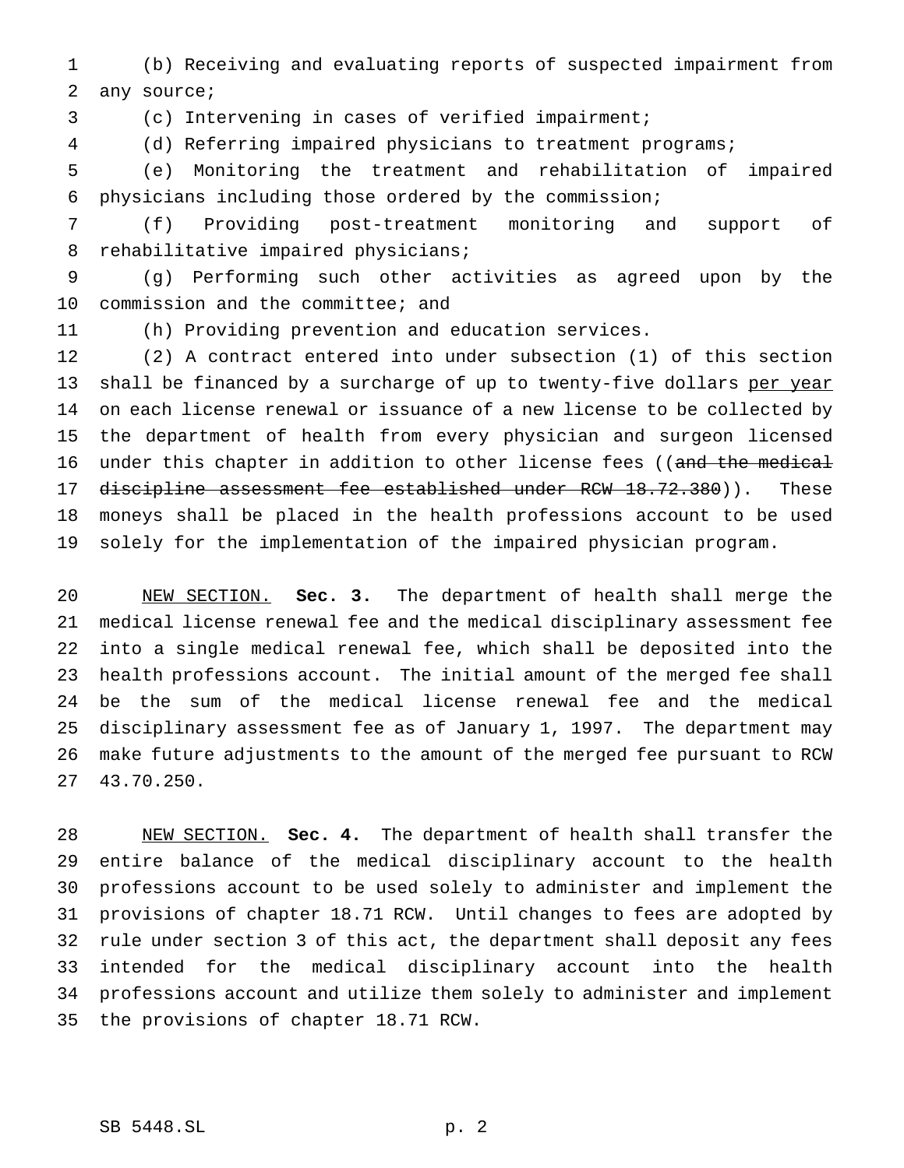(b) Receiving and evaluating reports of suspected impairment from any source;

(c) Intervening in cases of verified impairment;

(d) Referring impaired physicians to treatment programs;

 (e) Monitoring the treatment and rehabilitation of impaired physicians including those ordered by the commission;

 (f) Providing post-treatment monitoring and support of rehabilitative impaired physicians;

 (g) Performing such other activities as agreed upon by the commission and the committee; and

(h) Providing prevention and education services.

 (2) A contract entered into under subsection (1) of this section 13 shall be financed by a surcharge of up to twenty-five dollars per year on each license renewal or issuance of a new license to be collected by the department of health from every physician and surgeon licensed 16 under this chapter in addition to other license fees ((and the medical 17 discipline assessment fee established under RCW 18.72.380)). These moneys shall be placed in the health professions account to be used solely for the implementation of the impaired physician program.

 NEW SECTION. **Sec. 3.** The department of health shall merge the medical license renewal fee and the medical disciplinary assessment fee into a single medical renewal fee, which shall be deposited into the health professions account. The initial amount of the merged fee shall be the sum of the medical license renewal fee and the medical disciplinary assessment fee as of January 1, 1997. The department may make future adjustments to the amount of the merged fee pursuant to RCW 43.70.250.

 NEW SECTION. **Sec. 4.** The department of health shall transfer the entire balance of the medical disciplinary account to the health professions account to be used solely to administer and implement the provisions of chapter 18.71 RCW. Until changes to fees are adopted by rule under section 3 of this act, the department shall deposit any fees intended for the medical disciplinary account into the health professions account and utilize them solely to administer and implement the provisions of chapter 18.71 RCW.